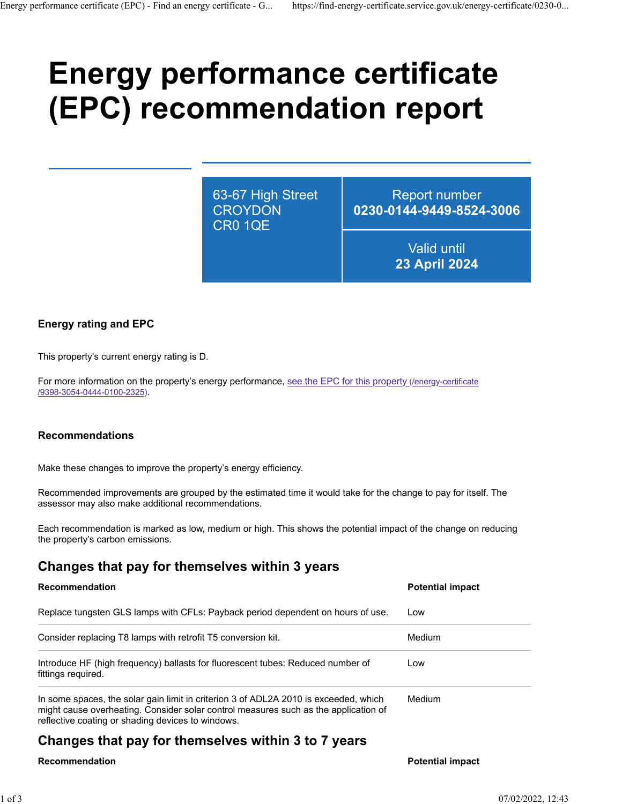# **Energy performance certificate (EPC) recommendation report**

63-67 High Street **CROYDON** CR0 1QE

Report number **0230-0144-9449-8524-3006**

> Valid until **23 April 2024**

## **Energy rating and EPC**

This property's current energy rating is D.

For more information on the property's energy performance, [see the EPC for this property \(/energy-certificate](https://find-energy-certificate.service.gov.uk/energy-certificate/9398-3054-0444-0100-2325) [/9398-3054-0444-0100-2325\).](https://find-energy-certificate.service.gov.uk/energy-certificate/9398-3054-0444-0100-2325)

#### **Recommendations**

Make these changes to improve the property's energy efficiency.

Recommended improvements are grouped by the estimated time it would take for the change to pay for itself. The assessor may also make additional recommendations.

Each recommendation is marked as low, medium or high. This shows the potential impact of the change on reducing the property's carbon emissions.

# **Changes that pay for themselves within 3 years**

#### **Recommendation Potential impact**

| Replace tungsten GLS lamps with CFLs: Payback period dependent on hours of use.                                                                                                                                                  | Low           |
|----------------------------------------------------------------------------------------------------------------------------------------------------------------------------------------------------------------------------------|---------------|
| Consider replacing T8 lamps with retrofit T5 conversion kit.                                                                                                                                                                     | <b>Medium</b> |
| Introduce HF (high frequency) ballasts for fluorescent tubes: Reduced number of<br>fittings required.                                                                                                                            | Low           |
| In some spaces, the solar gain limit in criterion 3 of ADL2A 2010 is exceeded, which<br>might cause overheating. Consider solar control measures such as the application of<br>reflective coating or shading devices to windows. | <b>Medium</b> |

# **Changes that pay for themselves within 3 to 7 years**

#### **Recommendation Potential impact**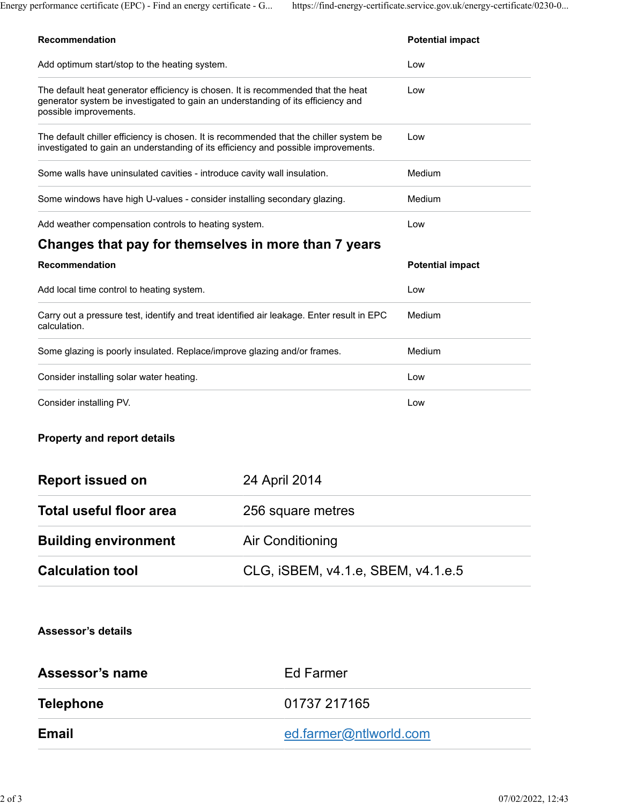| Add optimum start/stop to the heating system.                                                                                                                                                 |                                    | Low                     |  |
|-----------------------------------------------------------------------------------------------------------------------------------------------------------------------------------------------|------------------------------------|-------------------------|--|
| The default heat generator efficiency is chosen. It is recommended that the heat<br>generator system be investigated to gain an understanding of its efficiency and<br>possible improvements. |                                    | Low                     |  |
| The default chiller efficiency is chosen. It is recommended that the chiller system be<br>investigated to gain an understanding of its efficiency and possible improvements.                  |                                    | Low                     |  |
| Some walls have uninsulated cavities - introduce cavity wall insulation.                                                                                                                      |                                    | Medium                  |  |
| Some windows have high U-values - consider installing secondary glazing.                                                                                                                      |                                    | Medium                  |  |
| Add weather compensation controls to heating system.                                                                                                                                          |                                    | Low                     |  |
| Changes that pay for themselves in more than 7 years                                                                                                                                          |                                    |                         |  |
| Recommendation                                                                                                                                                                                |                                    | <b>Potential impact</b> |  |
| Add local time control to heating system.                                                                                                                                                     |                                    | Low                     |  |
| Carry out a pressure test, identify and treat identified air leakage. Enter result in EPC<br>calculation.                                                                                     |                                    | Medium                  |  |
| Some glazing is poorly insulated. Replace/improve glazing and/or frames.                                                                                                                      |                                    | Medium                  |  |
| Consider installing solar water heating.                                                                                                                                                      |                                    | Low                     |  |
| Consider installing PV.                                                                                                                                                                       |                                    | Low                     |  |
| <b>Property and report details</b>                                                                                                                                                            |                                    |                         |  |
| <b>Report issued on</b>                                                                                                                                                                       | 24 April 2014                      |                         |  |
| Total useful floor area                                                                                                                                                                       | 256 square metres                  |                         |  |
| <b>Building environment</b>                                                                                                                                                                   | <b>Air Conditioning</b>            |                         |  |
| <b>Calculation tool</b>                                                                                                                                                                       | CLG, iSBEM, v4.1.e, SBEM, v4.1.e.5 |                         |  |
| <b>Assessor's details</b>                                                                                                                                                                     |                                    |                         |  |
| <b>Assessor's name</b>                                                                                                                                                                        | <b>Ed Farmer</b>                   |                         |  |
| <b>Telephone</b>                                                                                                                                                                              | 01737 217165                       |                         |  |
| <b>Email</b>                                                                                                                                                                                  |                                    | ed.farmer@ntlworld.com  |  |
|                                                                                                                                                                                               |                                    |                         |  |

**Recommendation Potential impact**